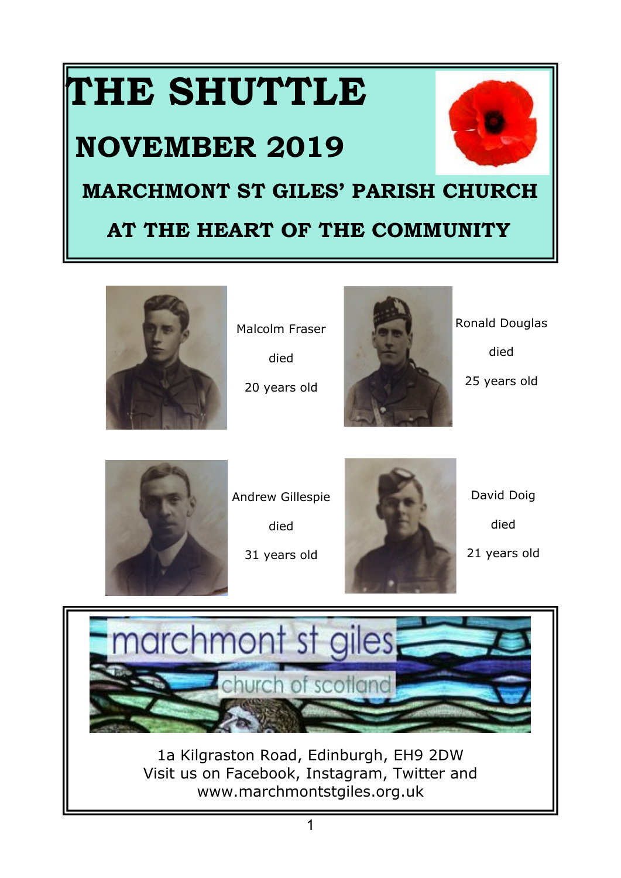# **THE SHUTTLE**

# **NOVEMBER 2019**



# **MARCHMONT ST GILES' PARISH CHURCH**

# **AT THE HEART OF THE COMMUNITY**



Malcolm Fraser died

20 years old



Ronald Douglas

died

25 years old



Andrew Gillespie

died

31 years old



David Doig died

21 years old

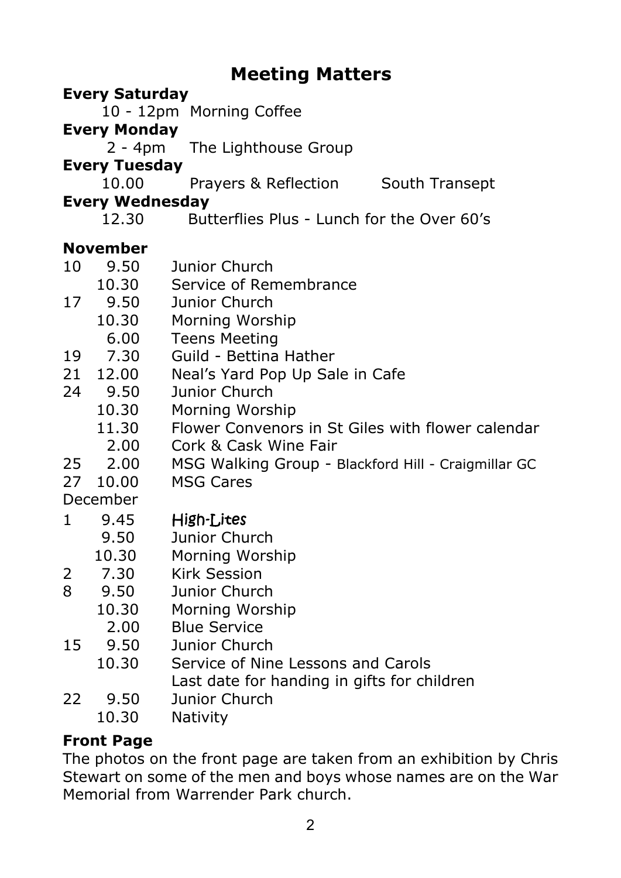# **Meeting Matters**

#### **Every Saturday**

10 - 12pm Morning Coffee

#### **Every Monday**

2 - 4pm The Lighthouse Group

#### **Every Tuesday**

10.00 Prayers & Reflection South Transept

#### **Every Wednesday**

12.30 Butterflies Plus - Lunch for the Over 60's

#### **November**

- 10 9.50 Junior Church<br>10.30 Service of Ren
- Service of Remembrance
- 17 9.50 Junior Church
	- 10.30 Morning Worship
		- 6.00 Teens Meeting
- 19 7.30 Guild Bettina Hather
- 21 12.00 Neal's Yard Pop Up Sale in Cafe<br>24 9.50 Junior Church
- 24 9.50 Junior Church
	- 10.30 Morning Worship
	- 11.30 Flower Convenors in St Giles with flower calendar
	- 2.00 Cork & Cask Wine Fair
- 25 2.00 MSG Walking Group Blackford Hill Craigmillar GC
- 27 10.00 MSG Cares

December

- 1 9.45 High-Lites
	- 9.50 Junior Church
	- 10.30 Morning Worship
- 2 7.30 Kirk Session
- 8 9.50 Junior Church
	- 10.30 Morning Worship
		- 2.00 Blue Service<br>9.50 Lunior Churc
- 15 9.50 Junior Church
	- 10.30 Service of Nine Lessons and Carols Last date for handing in gifts for children
- 22 9.50 Junior Church
	- 10.30 Nativity

#### **Front Page**

The photos on the front page are taken from an exhibition by Chris Stewart on some of the men and boys whose names are on the War Memorial from Warrender Park church.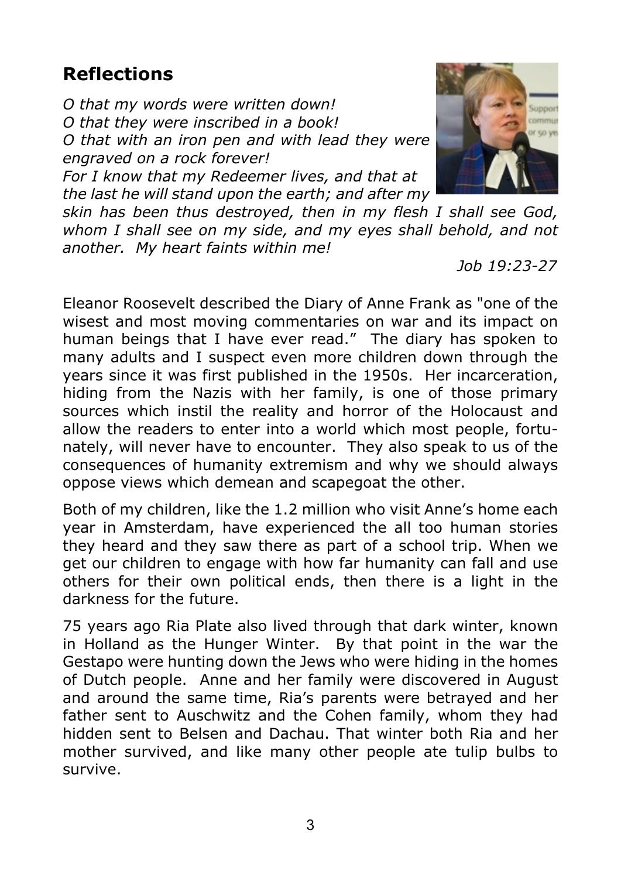# **Reflections**

*O that my words were written down! O that they were inscribed in a book! O that with an iron pen and with lead they were engraved on a rock forever!*

*For I know that my Redeemer lives, and that at the last he will stand upon the earth; and after my*

*skin has been thus destroyed, then in my flesh I shall see God, whom I shall see on my side, and my eyes shall behold, and not another. My heart faints within me!*

 *Job 19:23-27*

Eleanor Roosevelt described the Diary of Anne Frank as "one of the wisest and most moving commentaries on war and its impact on human beings that I have ever read." The diary has spoken to many adults and I suspect even more children down through the years since it was first published in the 1950s. Her incarceration, hiding from the Nazis with her family, is one of those primary sources which instil the reality and horror of the Holocaust and allow the readers to enter into a world which most people, fortunately, will never have to encounter. They also speak to us of the consequences of humanity extremism and why we should always oppose views which demean and scapegoat the other.

Both of my children, like the 1.2 million who visit Anne's home each year in Amsterdam, have experienced the all too human stories they heard and they saw there as part of a school trip. When we get our children to engage with how far humanity can fall and use others for their own political ends, then there is a light in the darkness for the future.

75 years ago Ria Plate also lived through that dark winter, known in Holland as the Hunger Winter. By that point in the war the Gestapo were hunting down the Jews who were hiding in the homes of Dutch people. Anne and her family were discovered in August and around the same time, Ria's parents were betrayed and her father sent to Auschwitz and the Cohen family, whom they had hidden sent to Belsen and Dachau. That winter both Ria and her mother survived, and like many other people ate tulip bulbs to survive.

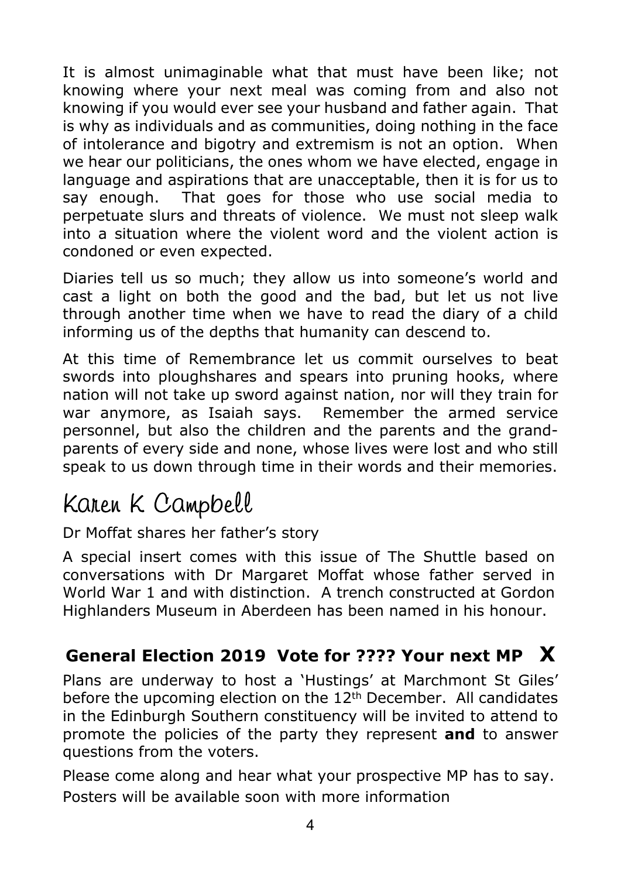It is almost unimaginable what that must have been like; not knowing where your next meal was coming from and also not knowing if you would ever see your husband and father again. That is why as individuals and as communities, doing nothing in the face of intolerance and bigotry and extremism is not an option. When we hear our politicians, the ones whom we have elected, engage in language and aspirations that are unacceptable, then it is for us to say enough. That goes for those who use social media to perpetuate slurs and threats of violence. We must not sleep walk into a situation where the violent word and the violent action is condoned or even expected.

Diaries tell us so much; they allow us into someone's world and cast a light on both the good and the bad, but let us not live through another time when we have to read the diary of a child informing us of the depths that humanity can descend to.

At this time of Remembrance let us commit ourselves to beat swords into ploughshares and spears into pruning hooks, where nation will not take up sword against nation, nor will they train for war anymore, as Isaiah says. Remember the armed service personnel, but also the children and the parents and the grandparents of every side and none, whose lives were lost and who still speak to us down through time in their words and their memories.

# Karen K Campbell

#### Dr Moffat shares her father's story

A special insert comes with this issue of The Shuttle based on conversations with Dr Margaret Moffat whose father served in World War 1 and with distinction. A trench constructed at Gordon Highlanders Museum in Aberdeen has been named in his honour.

#### **General Election 2019 Vote for ???? Your next MP X**

Plans are underway to host a 'Hustings' at Marchmont St Giles' before the upcoming election on the 12<sup>th</sup> December. All candidates in the Edinburgh Southern constituency will be invited to attend to promote the policies of the party they represent **and** to answer questions from the voters.

Please come along and hear what your prospective MP has to say. Posters will be available soon with more information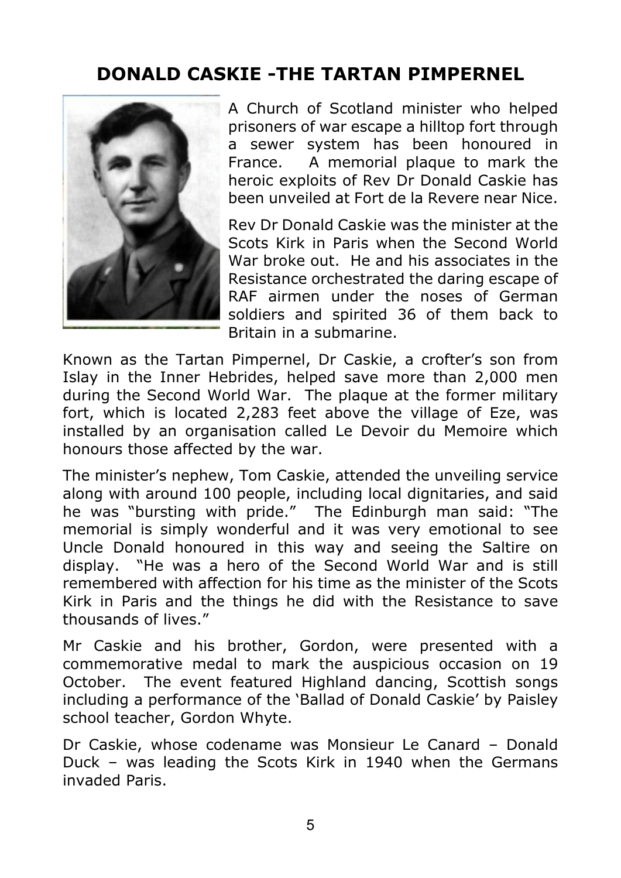# **DONALD CASKIE -THE TARTAN PIMPERNEL**



A Church of Scotland minister who helped prisoners of war escape a hilltop fort through a sewer system has been honoured in France. A memorial plaque to mark the heroic exploits of Rev Dr Donald Caskie has been unveiled at Fort de la Revere near Nice.

Rev Dr Donald Caskie was the minister at the Scots Kirk in Paris when the Second World War broke out. He and his associates in the Resistance orchestrated the daring escape of RAF airmen under the noses of German soldiers and spirited 36 of them back to Britain in a submarine.

Known as the Tartan Pimpernel, Dr Caskie, a crofter's son from Islay in the Inner Hebrides, helped save more than 2,000 men during the Second World War. The plaque at the former military fort, which is located 2,283 feet above the village of Eze, was installed by an organisation called Le Devoir du Memoire which honours those affected by the war.

The minister's nephew, Tom Caskie, attended the unveiling service along with around 100 people, including local dignitaries, and said he was "bursting with pride." The Edinburgh man said: "The memorial is simply wonderful and it was very emotional to see Uncle Donald honoured in this way and seeing the Saltire on display. "He was a hero of the Second World War and is still remembered with affection for his time as the minister of the Scots Kirk in Paris and the things he did with the Resistance to save thousands of lives."

Mr Caskie and his brother, Gordon, were presented with a commemorative medal to mark the auspicious occasion on 19 October. The event featured Highland dancing, Scottish songs including a performance of the 'Ballad of Donald Caskie' by Paisley school teacher, Gordon Whyte.

Dr Caskie, whose codename was Monsieur Le Canard – Donald Duck – was leading the Scots Kirk in 1940 when the Germans invaded Paris.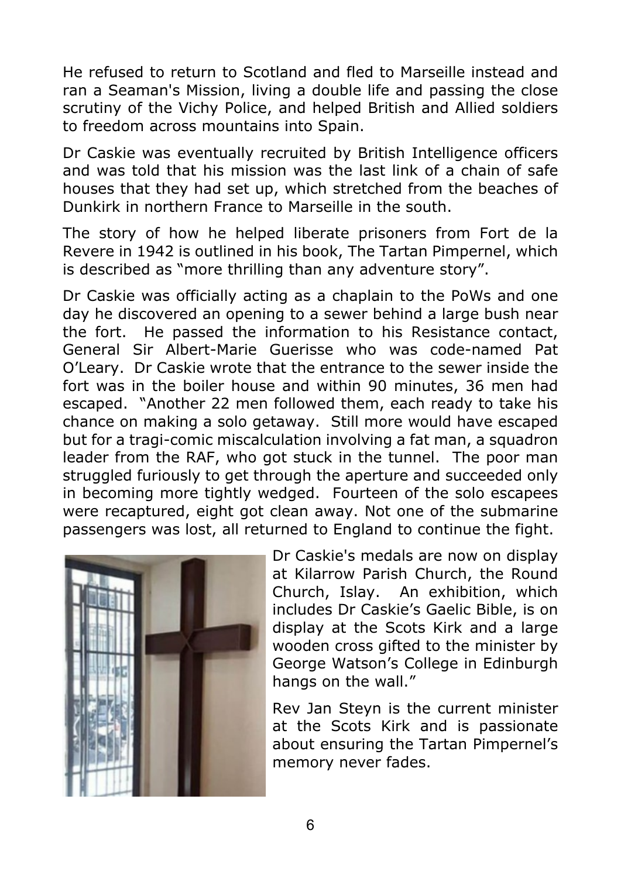He refused to return to Scotland and fled to Marseille instead and ran a Seaman's Mission, living a double life and passing the close scrutiny of the Vichy Police, and helped British and Allied soldiers to freedom across mountains into Spain.

Dr Caskie was eventually recruited by British Intelligence officers and was told that his mission was the last link of a chain of safe houses that they had set up, which stretched from the beaches of Dunkirk in northern France to Marseille in the south.

The story of how he helped liberate prisoners from Fort de la Revere in 1942 is outlined in his book, The Tartan Pimpernel, which is described as "more thrilling than any adventure story".

Dr Caskie was officially acting as a chaplain to the PoWs and one day he discovered an opening to a sewer behind a large bush near the fort. He passed the information to his Resistance contact, General Sir Albert-Marie Guerisse who was code-named Pat O'Leary. Dr Caskie wrote that the entrance to the sewer inside the fort was in the boiler house and within 90 minutes, 36 men had escaped. "Another 22 men followed them, each ready to take his chance on making a solo getaway. Still more would have escaped but for a tragi-comic miscalculation involving a fat man, a squadron leader from the RAF, who got stuck in the tunnel. The poor man struggled furiously to get through the aperture and succeeded only in becoming more tightly wedged. Fourteen of the solo escapees were recaptured, eight got clean away. Not one of the submarine passengers was lost, all returned to England to continue the fight.



Dr Caskie's medals are now on display at Kilarrow Parish Church, the Round Church, Islay. An exhibition, which includes Dr Caskie's Gaelic Bible, is on display at the Scots Kirk and a large wooden cross gifted to the minister by George Watson's College in Edinburgh hangs on the wall."

Rev Jan Steyn is the current minister at the Scots Kirk and is passionate about ensuring the Tartan Pimpernel's memory never fades.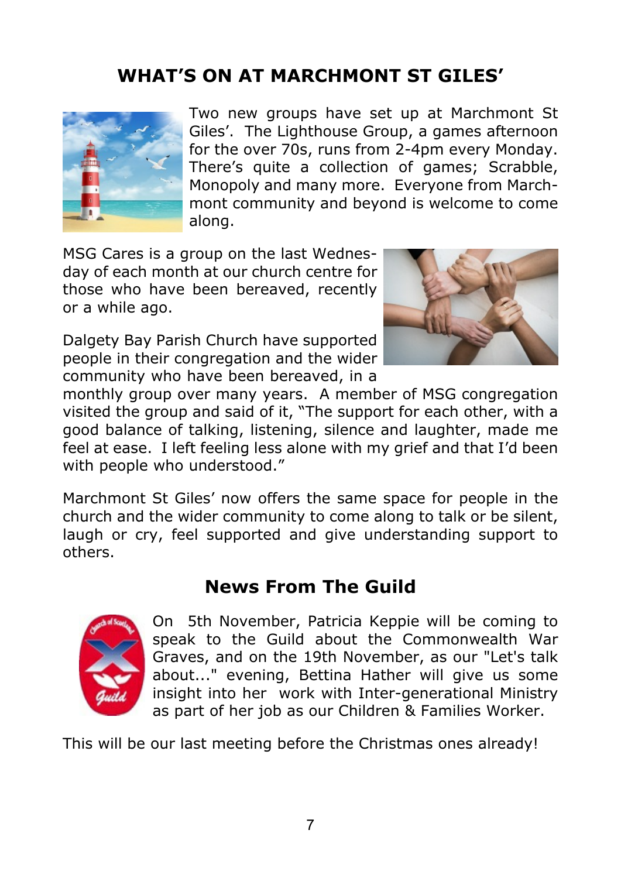# **WHAT'S ON AT MARCHMONT ST GILES'**



Two new groups have set up at Marchmont St Giles'. The Lighthouse Group, a games afternoon for the over 70s, runs from 2-4pm every Monday. There's quite a collection of games; Scrabble, Monopoly and many more. Everyone from Marchmont community and beyond is welcome to come along.

MSG Cares is a group on the last Wednesday of each month at our church centre for those who have been bereaved, recently or a while ago.

Dalgety Bay Parish Church have supported people in their congregation and the wider community who have been bereaved, in a



monthly group over many years. A member of MSG congregation visited the group and said of it, "The support for each other, with a good balance of talking, listening, silence and laughter, made me feel at ease. I left feeling less alone with my grief and that I'd been with people who understood."

Marchmont St Giles' now offers the same space for people in the church and the wider community to come along to talk or be silent, laugh or cry, feel supported and give understanding support to others.

#### **News From The Guild**



On 5th November, Patricia Keppie will be coming to speak to the Guild about the Commonwealth War Graves, and on the 19th November, as our "Let's talk about..." evening, Bettina Hather will give us some insight into her work with Inter-generational Ministry as part of her job as our Children & Families Worker.

This will be our last meeting before the Christmas ones already!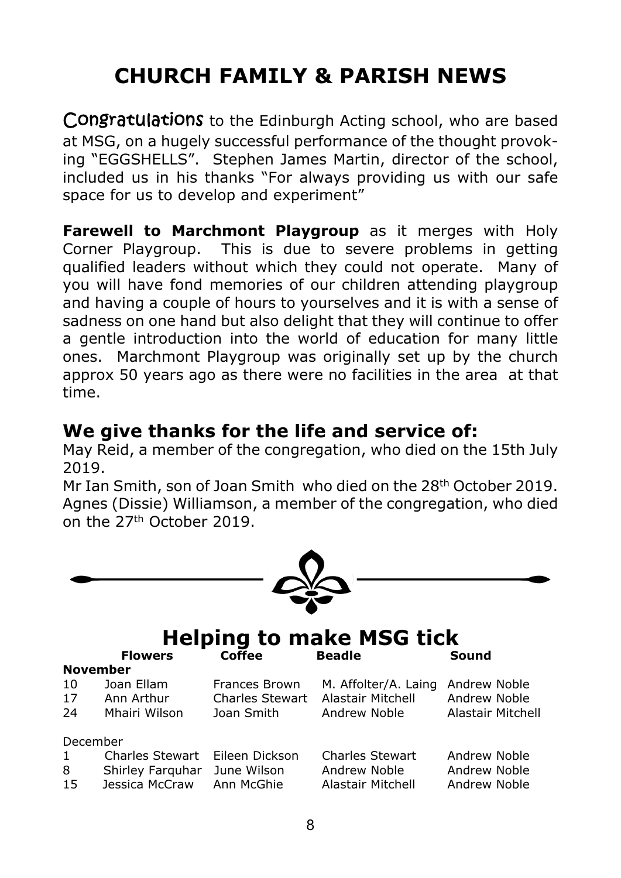# **CHURCH FAMILY & PARISH NEWS**

Congratulations to the Edinburgh Acting school, who are based at MSG, on a hugely successful performance of the thought provoking "EGGSHELLS". Stephen James Martin, director of the school, included us in his thanks "For always providing us with our safe space for us to develop and experiment"

**Farewell to Marchmont Playgroup** as it merges with Holy Corner Playgroup. This is due to severe problems in getting qualified leaders without which they could not operate. Many of you will have fond memories of our children attending playgroup and having a couple of hours to yourselves and it is with a sense of sadness on one hand but also delight that they will continue to offer a gentle introduction into the world of education for many little ones. Marchmont Playgroup was originally set up by the church approx 50 years ago as there were no facilities in the area at that time.

#### **We give thanks for the life and service of:**

May Reid, a member of the congregation, who died on the 15th July 2019.

Mr Ian Smith, son of Joan Smith who died on the 28<sup>th</sup> October 2019. Agnes (Dissie) Williamson, a member of the congregation, who died on the 27th October 2019.

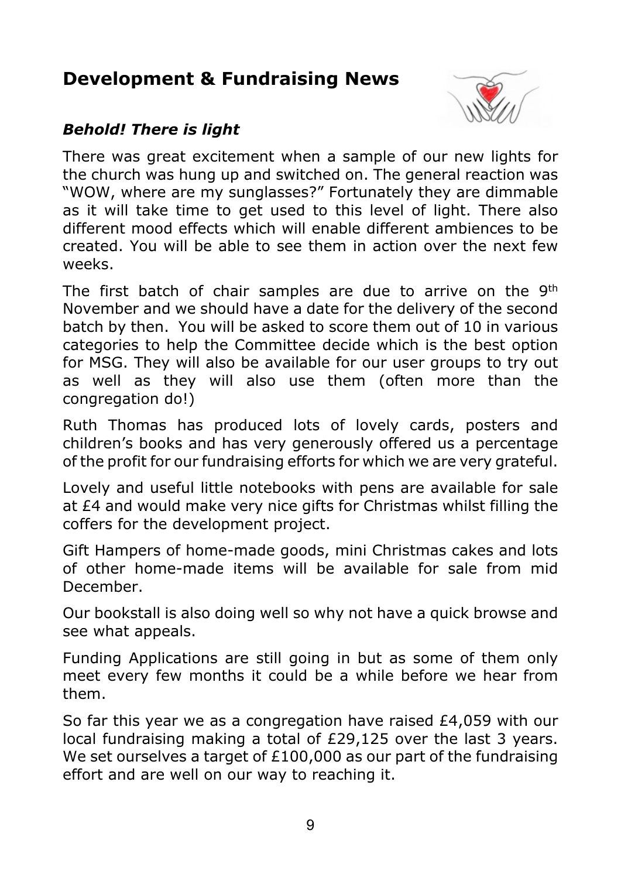# **Development & Fundraising News**



#### *Behold! There is light*

There was great excitement when a sample of our new lights for the church was hung up and switched on. The general reaction was "WOW, where are my sunglasses?" Fortunately they are dimmable as it will take time to get used to this level of light. There also different mood effects which will enable different ambiences to be created. You will be able to see them in action over the next few weeks.

The first batch of chair samples are due to arrive on the 9<sup>th</sup> November and we should have a date for the delivery of the second batch by then. You will be asked to score them out of 10 in various categories to help the Committee decide which is the best option for MSG. They will also be available for our user groups to try out as well as they will also use them (often more than the congregation do!)

Ruth Thomas has produced lots of lovely cards, posters and children's books and has very generously offered us a percentage of the profit for our fundraising efforts for which we are very grateful.

Lovely and useful little notebooks with pens are available for sale at £4 and would make very nice gifts for Christmas whilst filling the coffers for the development project.

Gift Hampers of home-made goods, mini Christmas cakes and lots of other home-made items will be available for sale from mid December.

Our bookstall is also doing well so why not have a quick browse and see what appeals.

Funding Applications are still going in but as some of them only meet every few months it could be a while before we hear from them.

So far this year we as a congregation have raised £4,059 with our local fundraising making a total of £29,125 over the last 3 years. We set ourselves a target of £100,000 as our part of the fundraising effort and are well on our way to reaching it.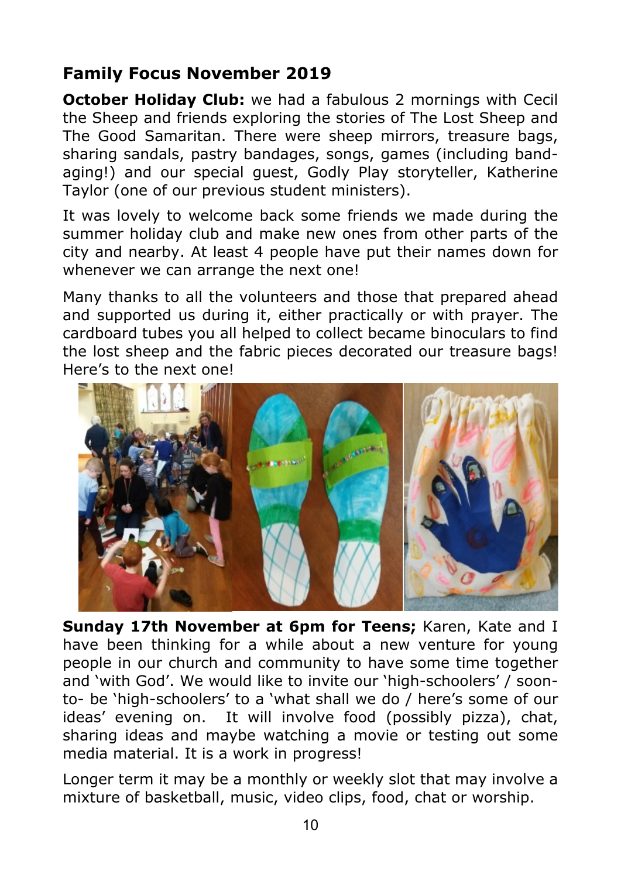#### **Family Focus November 2019**

**October Holiday Club:** we had a fabulous 2 mornings with Cecil the Sheep and friends exploring the stories of The Lost Sheep and The Good Samaritan. There were sheep mirrors, treasure bags, sharing sandals, pastry bandages, songs, games (including bandaging!) and our special guest, Godly Play storyteller, Katherine Taylor (one of our previous student ministers).

It was lovely to welcome back some friends we made during the summer holiday club and make new ones from other parts of the city and nearby. At least 4 people have put their names down for whenever we can arrange the next one!

Many thanks to all the volunteers and those that prepared ahead and supported us during it, either practically or with prayer. The cardboard tubes you all helped to collect became binoculars to find the lost sheep and the fabric pieces decorated our treasure bags! Here's to the next one!



**Sunday 17th November at 6pm for Teens;** Karen, Kate and I have been thinking for a while about a new venture for young people in our church and community to have some time together and 'with God'. We would like to invite our 'high-schoolers' / soonto- be 'high-schoolers' to a 'what shall we do / here's some of our ideas' evening on. It will involve food (possibly pizza), chat, sharing ideas and maybe watching a movie or testing out some media material. It is a work in progress!

Longer term it may be a monthly or weekly slot that may involve a mixture of basketball, music, video clips, food, chat or worship.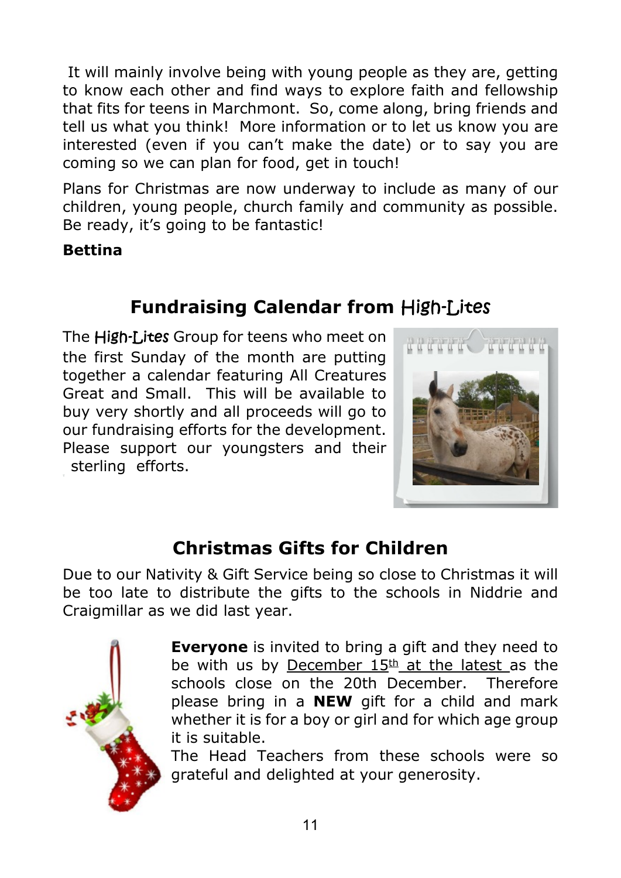It will mainly involve being with young people as they are, getting to know each other and find ways to explore faith and fellowship that fits for teens in Marchmont. So, come along, bring friends and tell us what you think! More information or to let us know you are interested (even if you can't make the date) or to say you are coming so we can plan for food, get in touch!

Plans for Christmas are now underway to include as many of our children, young people, church family and community as possible. Be ready, it's going to be fantastic!

**Bettina**

# **Fundraising Calendar from**

The High-Lites Group for teens who meet on the first Sunday of the month are putting together a calendar featuring All Creatures Great and Small. This will be available to buy very shortly and all proceeds will go to our fundraising efforts for the development. Please support our youngsters and their sterling efforts.



# **Christmas Gifts for Children**

Due to our Nativity & Gift Service being so close to Christmas it will be too late to distribute the gifts to the schools in Niddrie and Craigmillar as we did last year.



**Everyone** is invited to bring a gift and they need to be with us by December  $15<sup>th</sup>$  at the latest as the schools close on the 20th December. Therefore please bring in a **NEW** gift for a child and mark whether it is for a boy or girl and for which age group it is suitable.

The Head Teachers from these schools were so grateful and delighted at your generosity.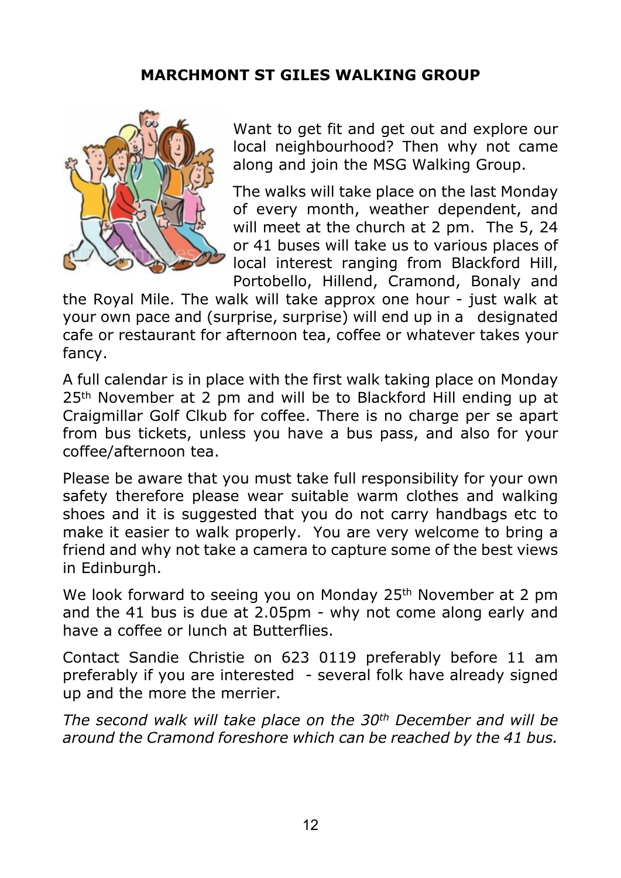#### **MARCHMONT ST GILES WALKING GROUP**



Want to get fit and get out and explore our local neighbourhood? Then why not came along and join the MSG Walking Group.

The walks will take place on the last Monday of every month, weather dependent, and will meet at the church at 2 pm. The 5, 24 or 41 buses will take us to various places of local interest ranging from Blackford Hill, Portobello, Hillend, Cramond, Bonaly and

the Royal Mile. The walk will take approx one hour - just walk at your own pace and (surprise, surprise) will end up in a designated cafe or restaurant for afternoon tea, coffee or whatever takes your fancy.

A full calendar is in place with the first walk taking place on Monday 25<sup>th</sup> November at 2 pm and will be to Blackford Hill ending up at Craigmillar Golf Clkub for coffee. There is no charge per se apart from bus tickets, unless you have a bus pass, and also for your coffee/afternoon tea.

Please be aware that you must take full responsibility for your own safety therefore please wear suitable warm clothes and walking shoes and it is suggested that you do not carry handbags etc to make it easier to walk properly. You are very welcome to bring a friend and why not take a camera to capture some of the best views in Edinburgh.

We look forward to seeing you on Monday 25<sup>th</sup> November at 2 pm and the 41 bus is due at 2.05pm - why not come along early and have a coffee or lunch at Butterflies.

Contact Sandie Christie on 623 0119 preferably before 11 am preferably if you are interested - several folk have already signed up and the more the merrier.

*The second walk will take place on the 30th December and will be around the Cramond foreshore which can be reached by the 41 bus.*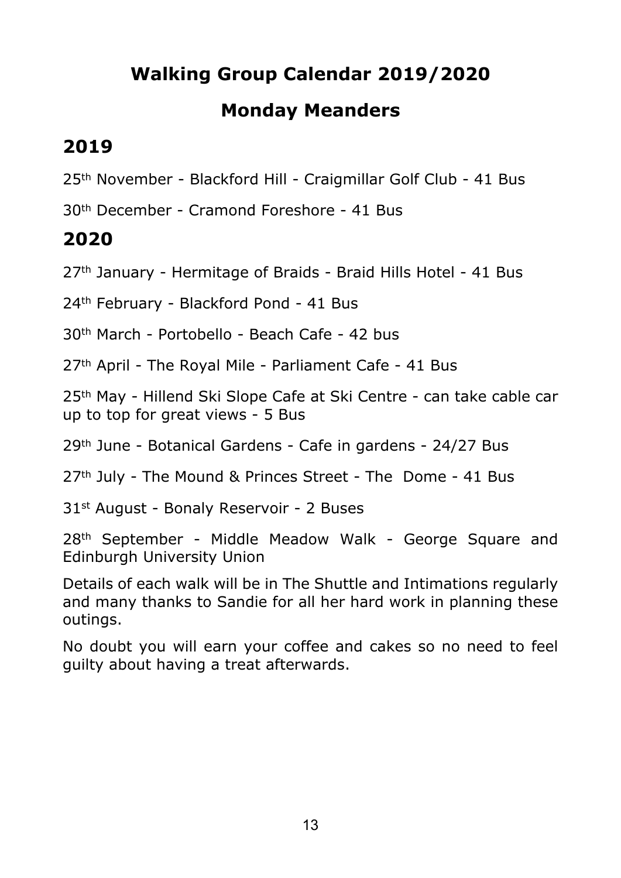# **Walking Group Calendar 2019/2020**

## **Monday Meanders**

# **2019**

25th November - Blackford Hill - Craigmillar Golf Club - 41 Bus

30th December - Cramond Foreshore - 41 Bus

# **2020**

27th January - Hermitage of Braids - Braid Hills Hotel - 41 Bus

24th February - Blackford Pond - 41 Bus

30th March - Portobello - Beach Cafe - 42 bus

27th April - The Royal Mile - Parliament Cafe - 41 Bus

25<sup>th</sup> May - Hillend Ski Slope Cafe at Ski Centre - can take cable car up to top for great views - 5 Bus

29th June - Botanical Gardens - Cafe in gardens - 24/27 Bus

27th July - The Mound & Princes Street - The Dome - 41 Bus

31st August - Bonaly Reservoir - 2 Buses

28th September - Middle Meadow Walk - George Square and Edinburgh University Union

Details of each walk will be in The Shuttle and Intimations regularly and many thanks to Sandie for all her hard work in planning these outings.

No doubt you will earn your coffee and cakes so no need to feel guilty about having a treat afterwards.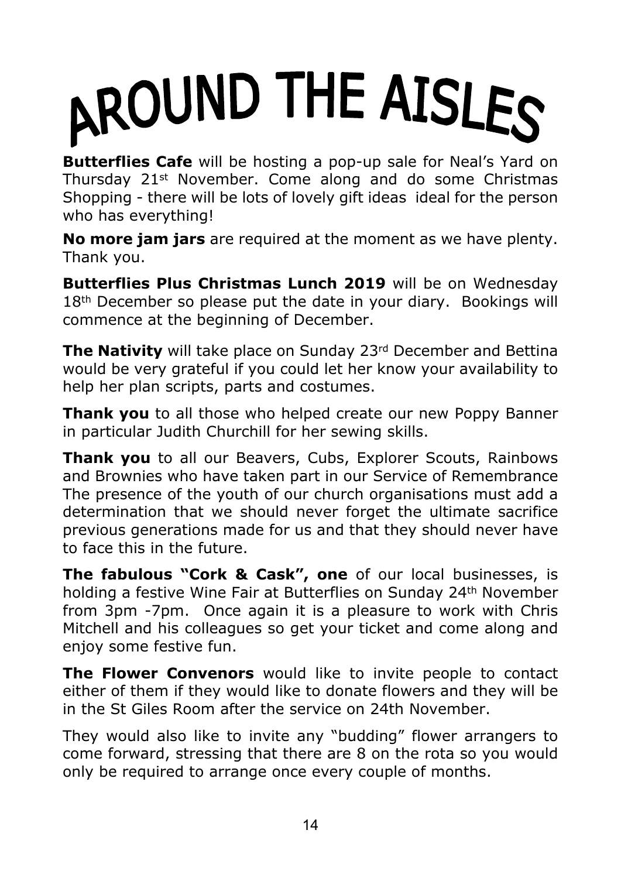# AROUND THE AISLES

**Butterflies Cafe** will be hosting a pop-up sale for Neal's Yard on Thursday 21st November. Come along and do some Christmas Shopping - there will be lots of lovely gift ideas ideal for the person who has everything!

**No more jam jars** are required at the moment as we have plenty. Thank you.

**Butterflies Plus Christmas Lunch 2019** will be on Wednesday 18<sup>th</sup> December so please put the date in your diary. Bookings will commence at the beginning of December.

**The Nativity** will take place on Sunday 23<sup>rd</sup> December and Bettina would be very grateful if you could let her know your availability to help her plan scripts, parts and costumes.

**Thank you** to all those who helped create our new Poppy Banner in particular Judith Churchill for her sewing skills.

**Thank you** to all our Beavers, Cubs, Explorer Scouts, Rainbows and Brownies who have taken part in our Service of Remembrance The presence of the youth of our church organisations must add a determination that we should never forget the ultimate sacrifice previous generations made for us and that they should never have to face this in the future.

**The fabulous "Cork & Cask", one** of our local businesses, is holding a festive Wine Fair at Butterflies on Sunday 24th November from 3pm -7pm. Once again it is a pleasure to work with Chris Mitchell and his colleagues so get your ticket and come along and enjoy some festive fun.

**The Flower Convenors** would like to invite people to contact either of them if they would like to donate flowers and they will be in the St Giles Room after the service on 24th November.

They would also like to invite any "budding" flower arrangers to come forward, stressing that there are 8 on the rota so you would only be required to arrange once every couple of months.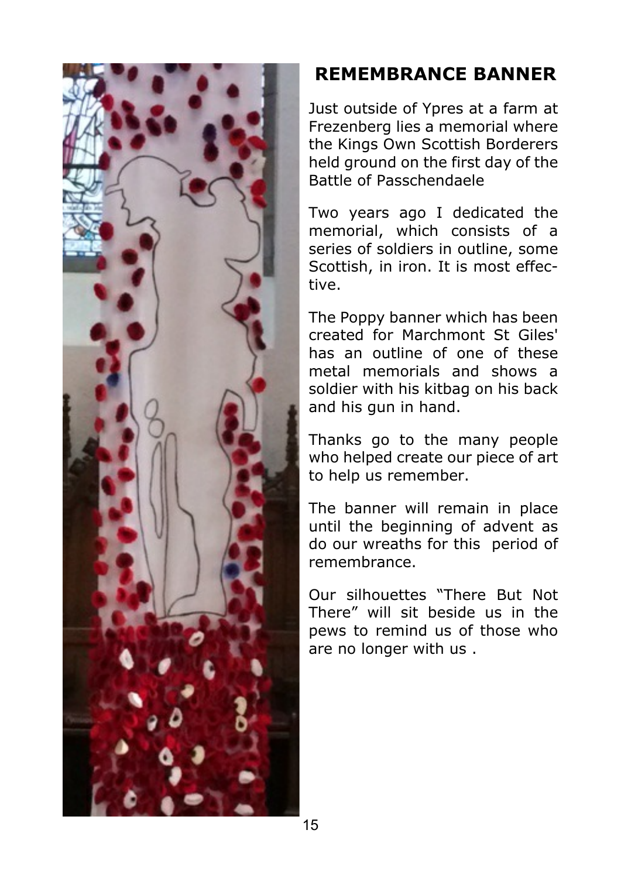

# **REMEMBRANCE BANNER**

Just outside of Ypres at a farm at Frezenberg lies a memorial where the Kings Own Scottish Borderers held ground on the first day of the Battle of Passchendaele

Two years ago I dedicated the memorial, which consists of a series of soldiers in outline, some Scottish, in iron. It is most effective.

The Poppy banner which has been created for Marchmont St Giles' has an outline of one of these metal memorials and shows a soldier with his kitbag on his back and his gun in hand.

Thanks go to the many people who helped create our piece of art to help us remember.

The banner will remain in place until the beginning of advent as do our wreaths for this period of remembrance.

Our silhouettes "There But Not There" will sit beside us in the pews to remind us of those who are no longer with us .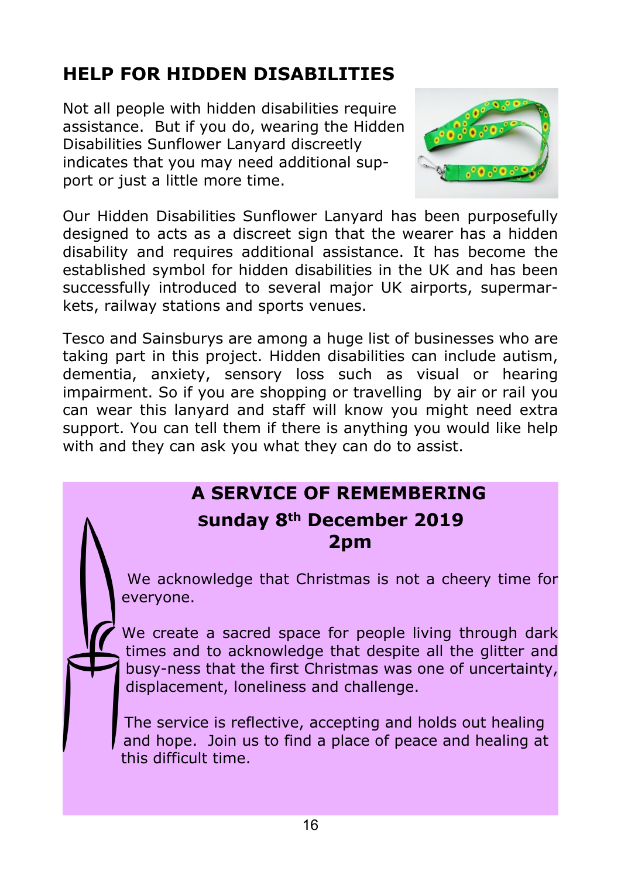# **HELP FOR HIDDEN DISABILITIES**

Not all people with hidden disabilities require assistance. But if you do, wearing the Hidden Disabilities Sunflower Lanyard discreetly indicates that you may need additional support or just a little more time.



Our Hidden Disabilities Sunflower Lanyard has been purposefully designed to acts as a discreet sign that the wearer has a hidden disability and requires additional assistance. It has become the established symbol for hidden disabilities in the UK and has been successfully introduced to several major UK airports, supermarkets, railway stations and sports venues.

Tesco and Sainsburys are among a huge list of businesses who are taking part in this project. Hidden disabilities can include autism, dementia, anxiety, sensory loss such as visual or hearing impairment. So if you are shopping or travelling by air or rail you can wear this lanyard and staff will know you might need extra support. You can tell them if there is anything you would like help with and they can ask you what they can do to assist.

# **A SERVICE OF REMEMBERING Sunday 8th December 2019 2pm**

 We acknowledge that Christmas is not a cheery time for everyone.

We create a sacred space for people living through dark times and to acknowledge that despite all the glitter and busy-ness that the first Christmas was one of uncertainty, displacement, loneliness and challenge.

The service is reflective, accepting and holds out healing and hope. Join us to find a place of peace and healing at this difficult time.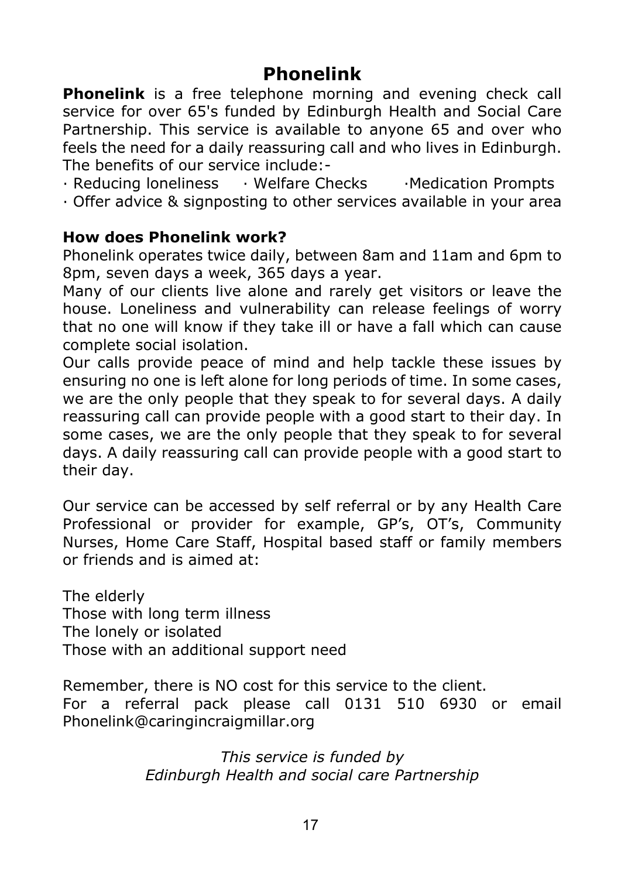#### **Phonelink**

**Phonelink** is a free telephone morning and evening check call service for over 65's funded by Edinburgh Health and Social Care Partnership. This service is available to anyone 65 and over who feels the need for a daily reassuring call and who lives in Edinburgh. The benefits of our service include:-

- · Reducing loneliness · Welfare Checks · Medication Prompts
- · Offer advice & signposting to other services available in your area

#### **How does Phonelink work?**

Phonelink operates twice daily, between 8am and 11am and 6pm to 8pm, seven days a week, 365 days a year.

Many of our clients live alone and rarely get visitors or leave the house. Loneliness and vulnerability can release feelings of worry that no one will know if they take ill or have a fall which can cause complete social isolation.

Our calls provide peace of mind and help tackle these issues by ensuring no one is left alone for long periods of time. In some cases, we are the only people that they speak to for several days. A daily reassuring call can provide people with a good start to their day. In some cases, we are the only people that they speak to for several days. A daily reassuring call can provide people with a good start to their day.

Our service can be accessed by self referral or by any Health Care Professional or provider for example, GP's, OT's, Community Nurses, Home Care Staff, Hospital based staff or family members or friends and is aimed at:

The elderly Those with long term illness The lonely or isolated Those with an additional support need

Remember, there is NO cost for this service to the client. For a referral pack please call 0131 510 6930 or email Phonelink@caringincraigmillar.org

> *This service is funded by Edinburgh Health and social care Partnership*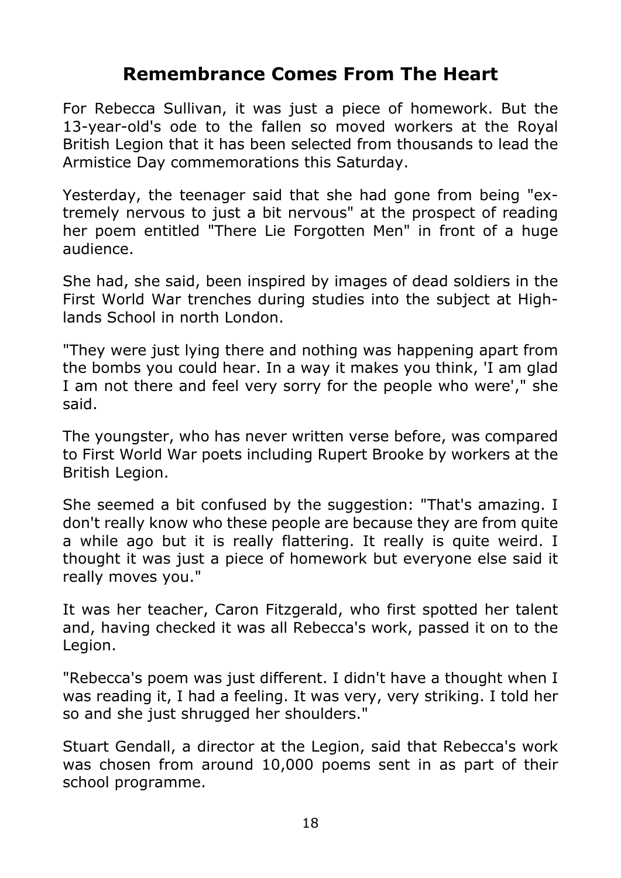## **Remembrance Comes From The Heart**

For Rebecca Sullivan, it was just a piece of homework. But the 13-year-old's ode to the fallen so moved workers at the Royal British Legion that it has been selected from thousands to lead the Armistice Day commemorations this Saturday.

Yesterday, the teenager said that she had gone from being "extremely nervous to just a bit nervous" at the prospect of reading her poem entitled "There Lie Forgotten Men" in front of a huge audience.

She had, she said, been inspired by images of dead soldiers in the First World War trenches during studies into the subject at Highlands School in north London.

"They were just lying there and nothing was happening apart from the bombs you could hear. In a way it makes you think, 'I am glad I am not there and feel very sorry for the people who were'," she said.

The youngster, who has never written verse before, was compared to First World War poets including Rupert Brooke by workers at the British Legion.

She seemed a bit confused by the suggestion: "That's amazing. I don't really know who these people are because they are from quite a while ago but it is really flattering. It really is quite weird. I thought it was just a piece of homework but everyone else said it really moves you."

It was her teacher, Caron Fitzgerald, who first spotted her talent and, having checked it was all Rebecca's work, passed it on to the Legion.

"Rebecca's poem was just different. I didn't have a thought when I was reading it, I had a feeling. It was very, very striking. I told her so and she just shrugged her shoulders."

Stuart Gendall, a director at the Legion, said that Rebecca's work was chosen from around 10,000 poems sent in as part of their school programme.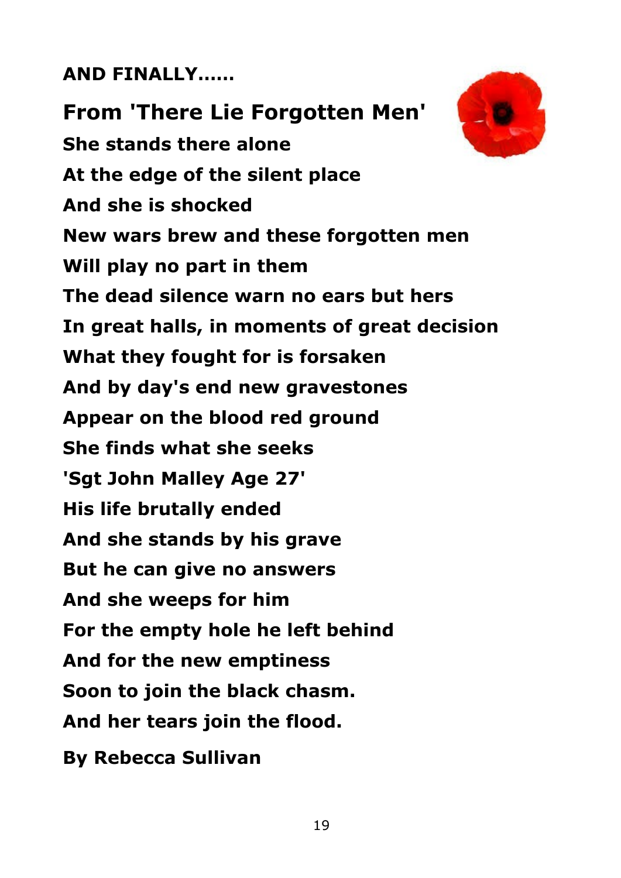# **AND FINALLY……**

**From 'There Lie Forgotten Men' She stands there alone At the edge of the silent place And she is shocked New wars brew and these forgotten men Will play no part in them The dead silence warn no ears but hers In great halls, in moments of great decision What they fought for is forsaken And by day's end new gravestones Appear on the blood red ground She finds what she seeks 'Sgt John Malley Age 27' His life brutally ended And she stands by his grave But he can give no answers And she weeps for him For the empty hole he left behind And for the new emptiness Soon to join the black chasm. And her tears join the flood. By Rebecca Sullivan**